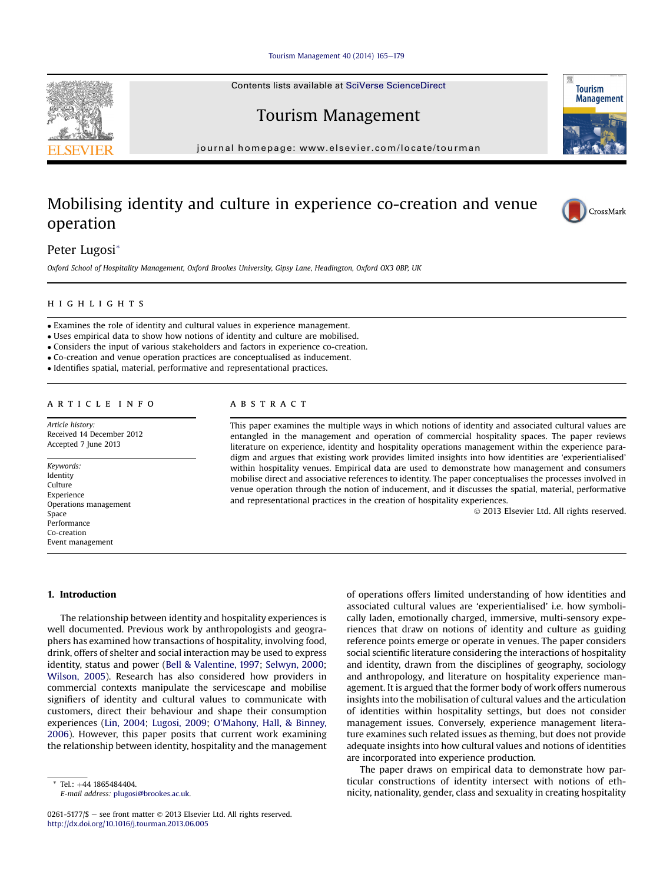[Tourism Management 40 \(2014\) 165](http://dx.doi.org/10.1016/j.tourman.2013.06.005)-[179](http://dx.doi.org/10.1016/j.tourman.2013.06.005)

Contents lists available at SciVerse ScienceDirect

## Tourism Management

journal homepage: [www.elsevier.com/locate/tourman](http://www.elsevier.com/locate/tourman)

## Mobilising identity and culture in experience co-creation and venue operation

Peter Lugosi\*

Oxford School of Hospitality Management, Oxford Brookes University, Gipsy Lane, Headington, Oxford OX3 0BP, UK

## highlights are the state of the state of

- Examines the role of identity and cultural values in experience management.
- Uses empirical data to show how notions of identity and culture are mobilised.
- Considers the input of various stakeholders and factors in experience co-creation.
- Co-creation and venue operation practices are conceptualised as inducement.
- Identifies spatial, material, performative and representational practices.

Article history: Received 14 December 2012 Accepted 7 June 2013

Keywords: Identity Culture Experience Operations management Space Performance Co-creation Event management

This paper examines the multiple ways in which notions of identity and associated cultural values are entangled in the management and operation of commercial hospitality spaces. The paper reviews literature on experience, identity and hospitality operations management within the experience paradigm and argues that existing work provides limited insights into how identities are 'experientialised' within hospitality venues. Empirical data are used to demonstrate how management and consumers mobilise direct and associative references to identity. The paper conceptualises the processes involved in venue operation through the notion of inducement, and it discusses the spatial, material, performative and representational practices in the creation of hospitality experiences.

2013 Elsevier Ltd. All rights reserved.

### 1. Introduction

The relationship between identity and hospitality experiences is well documented. Previous work by anthropologists and geographers has examined how transactions of hospitality, involving food, drink, offers of shelter and social interaction may be used to express identity, status and power ([Bell & Valentine, 1997](#page--1-0); [Selwyn, 2000;](#page--1-0) [Wilson, 2005\)](#page--1-0). Research has also considered how providers in commercial contexts manipulate the servicescape and mobilise signifiers of identity and cultural values to communicate with customers, direct their behaviour and shape their consumption experiences [\(Lin, 2004](#page--1-0); [Lugosi, 2009;](#page--1-0) O'[Mahony, Hall, & Binney,](#page--1-0) [2006\)](#page--1-0). However, this paper posits that current work examining the relationship between identity, hospitality and the management

Tel.: +44 1865484404.

E-mail address: [plugosi@brookes.ac.uk](mailto:plugosi@brookes.ac.uk).

of operations offers limited understanding of how identities and associated cultural values are 'experientialised' i.e. how symbolically laden, emotionally charged, immersive, multi-sensory experiences that draw on notions of identity and culture as guiding reference points emerge or operate in venues. The paper considers social scientific literature considering the interactions of hospitality and identity, drawn from the disciplines of geography, sociology and anthropology, and literature on hospitality experience management. It is argued that the former body of work offers numerous insights into the mobilisation of cultural values and the articulation of identities within hospitality settings, but does not consider management issues. Conversely, experience management literature examines such related issues as theming, but does not provide adequate insights into how cultural values and notions of identities are incorporated into experience production.

The paper draws on empirical data to demonstrate how particular constructions of identity intersect with notions of ethnicity, nationality, gender, class and sexuality in creating hospitality





CrossMark

**Tourism** 

<sup>0261-5177/\$ -</sup> see front matter  $\odot$  2013 Elsevier Ltd. All rights reserved. <http://dx.doi.org/10.1016/j.tourman.2013.06.005>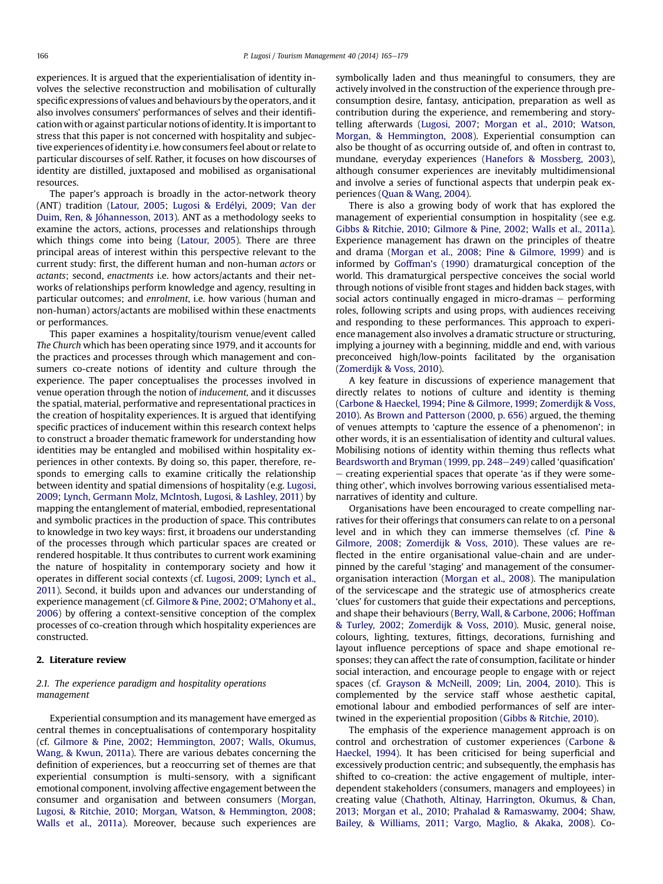experiences. It is argued that the experientialisation of identity involves the selective reconstruction and mobilisation of culturally specific expressions of values and behaviours by the operators, and it also involves consumers' performances of selves and their identificationwith or against particular notions of identity. It is important to stress that this paper is not concerned with hospitality and subjective experiences of identity i.e. how consumers feel about or relate to particular discourses of self. Rather, it focuses on how discourses of identity are distilled, juxtaposed and mobilised as organisational resources.

The paper's approach is broadly in the actor-network theory (ANT) tradition [\(Latour, 2005](#page--1-0); [Lugosi & Erdélyi, 2009](#page--1-0); [Van der](#page--1-0) [Duim, Ren, & Jóhannesson, 2013](#page--1-0)). ANT as a methodology seeks to examine the actors, actions, processes and relationships through which things come into being [\(Latour, 2005\)](#page--1-0). There are three principal areas of interest within this perspective relevant to the current study: first, the different human and non-human actors or actants; second, enactments i.e. how actors/actants and their networks of relationships perform knowledge and agency, resulting in particular outcomes; and enrolment, i.e. how various (human and non-human) actors/actants are mobilised within these enactments or performances.

This paper examines a hospitality/tourism venue/event called The Church which has been operating since 1979, and it accounts for the practices and processes through which management and consumers co-create notions of identity and culture through the experience. The paper conceptualises the processes involved in venue operation through the notion of inducement, and it discusses the spatial, material, performative and representational practices in the creation of hospitality experiences. It is argued that identifying specific practices of inducement within this research context helps to construct a broader thematic framework for understanding how identities may be entangled and mobilised within hospitality experiences in other contexts. By doing so, this paper, therefore, responds to emerging calls to examine critically the relationship between identity and spatial dimensions of hospitality (e.g. [Lugosi,](#page--1-0) [2009](#page--1-0); [Lynch, Germann Molz, McIntosh, Lugosi, & Lashley, 2011](#page--1-0)) by mapping the entanglement of material, embodied, representational and symbolic practices in the production of space. This contributes to knowledge in two key ways: first, it broadens our understanding of the processes through which particular spaces are created or rendered hospitable. It thus contributes to current work examining the nature of hospitality in contemporary society and how it operates in different social contexts (cf. [Lugosi, 2009](#page--1-0); [Lynch et al.,](#page--1-0) [2011\)](#page--1-0). Second, it builds upon and advances our understanding of experience management (cf. [Gilmore & Pine, 2002;](#page--1-0) O'[Mahony et al.,](#page--1-0) [2006](#page--1-0)) by offering a context-sensitive conception of the complex processes of co-creation through which hospitality experiences are constructed.

### 2. Literature review

### 2.1. The experience paradigm and hospitality operations management

Experiential consumption and its management have emerged as central themes in conceptualisations of contemporary hospitality (cf. [Gilmore & Pine, 2002](#page--1-0); [Hemmington, 2007;](#page--1-0) [Walls, Okumus,](#page--1-0) [Wang, & Kwun, 2011a](#page--1-0)). There are various debates concerning the definition of experiences, but a reoccurring set of themes are that experiential consumption is multi-sensory, with a significant emotional component, involving affective engagement between the consumer and organisation and between consumers ([Morgan,](#page--1-0) [Lugosi, & Ritchie, 2010](#page--1-0); [Morgan, Watson, & Hemmington, 2008](#page--1-0); [Walls et al., 2011a\)](#page--1-0). Moreover, because such experiences are symbolically laden and thus meaningful to consumers, they are actively involved in the construction of the experience through preconsumption desire, fantasy, anticipation, preparation as well as contribution during the experience, and remembering and storytelling afterwards [\(Lugosi, 2007](#page--1-0); [Morgan et al., 2010;](#page--1-0) [Watson,](#page--1-0) [Morgan, & Hemmington, 2008\)](#page--1-0). Experiential consumption can also be thought of as occurring outside of, and often in contrast to, mundane, everyday experiences [\(Hanefors & Mossberg, 2003\)](#page--1-0), although consumer experiences are inevitably multidimensional and involve a series of functional aspects that underpin peak experiences [\(Quan & Wang, 2004](#page--1-0)).

There is also a growing body of work that has explored the management of experiential consumption in hospitality (see e.g. [Gibbs & Ritchie, 2010;](#page--1-0) [Gilmore & Pine, 2002](#page--1-0); [Walls et al., 2011a\)](#page--1-0). Experience management has drawn on the principles of theatre and drama [\(Morgan et al., 2008](#page--1-0); [Pine & Gilmore, 1999\)](#page--1-0) and is informed by [Goffman](#page--1-0)'s (1990) dramaturgical conception of the world. This dramaturgical perspective conceives the social world through notions of visible front stages and hidden back stages, with social actors continually engaged in micro-dramas  $-$  performing roles, following scripts and using props, with audiences receiving and responding to these performances. This approach to experience management also involves a dramatic structure or structuring, implying a journey with a beginning, middle and end, with various preconceived high/low-points facilitated by the organisation ([Zomerdijk & Voss, 2010](#page--1-0)).

A key feature in discussions of experience management that directly relates to notions of culture and identity is theming ([Carbone & Haeckel, 1994](#page--1-0); [Pine & Gilmore, 1999](#page--1-0); [Zomerdijk & Voss,](#page--1-0) [2010\)](#page--1-0). As [Brown and Patterson \(2000, p. 656\)](#page--1-0) argued, the theming of venues attempts to 'capture the essence of a phenomenon'; in other words, it is an essentialisation of identity and cultural values. Mobilising notions of identity within theming thus reflects what [Beardsworth and Bryman \(1999, pp. 248](#page--1-0)-[249\)](#page--1-0) called 'quasification'  $-$  creating experiential spaces that operate 'as if they were something other', which involves borrowing various essentialised metanarratives of identity and culture.

Organisations have been encouraged to create compelling narratives for their offerings that consumers can relate to on a personal level and in which they can immerse themselves (cf. [Pine &](#page--1-0) [Gilmore, 2008](#page--1-0); [Zomerdijk & Voss, 2010](#page--1-0)). These values are reflected in the entire organisational value-chain and are underpinned by the careful 'staging' and management of the consumerorganisation interaction ([Morgan et al., 2008](#page--1-0)). The manipulation of the servicescape and the strategic use of atmospherics create 'clues' for customers that guide their expectations and perceptions, and shape their behaviours [\(Berry, Wall, & Carbone, 2006](#page--1-0); [Hoffman](#page--1-0) [& Turley, 2002](#page--1-0); [Zomerdijk & Voss, 2010](#page--1-0)). Music, general noise, colours, lighting, textures, fittings, decorations, furnishing and layout influence perceptions of space and shape emotional responses; they can affect the rate of consumption, facilitate or hinder social interaction, and encourage people to engage with or reject spaces (cf. [Grayson & McNeill, 2009;](#page--1-0) [Lin, 2004](#page--1-0), [2010](#page--1-0)). This is complemented by the service staff whose aesthetic capital, emotional labour and embodied performances of self are intertwined in the experiential proposition [\(Gibbs & Ritchie, 2010](#page--1-0)).

The emphasis of the experience management approach is on control and orchestration of customer experiences [\(Carbone &](#page--1-0) [Haeckel, 1994\)](#page--1-0). It has been criticised for being superficial and excessively production centric; and subsequently, the emphasis has shifted to co-creation: the active engagement of multiple, interdependent stakeholders (consumers, managers and employees) in creating value ([Chathoth, Altinay, Harrington, Okumus, & Chan,](#page--1-0) [2013;](#page--1-0) [Morgan et al., 2010](#page--1-0); [Prahalad & Ramaswamy, 2004;](#page--1-0) [Shaw,](#page--1-0) [Bailey, & Williams, 2011](#page--1-0); [Vargo, Maglio, & Akaka, 2008\)](#page--1-0). Co-